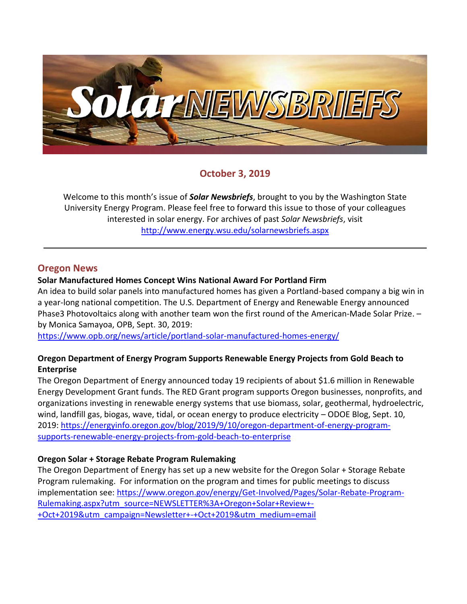

# **October 3, 2019**

Welcome to this month's issue of *Solar Newsbriefs*, brought to you by the Washington State University Energy Program. Please feel free to forward this issue to those of your colleagues interested in solar energy. For archives of past *Solar Newsbriefs*, visit <http://www.energy.wsu.edu/solarnewsbriefs.aspx>

## **Oregon News**

#### **Solar Manufactured Homes Concept Wins National Award For Portland Firm**

An idea to build solar panels into manufactured homes has given a Portland-based company a big win in a year-long national competition. The U.S. Department of Energy and Renewable Energy announced Phase3 Photovoltaics along with another team won the first round of the [American-Made Solar Prize.](https://www.energy.gov/eere/solar/american-made-solar-prize-round-1) – by Monica Samayoa, OPB, Sept. 30, 2019:

<https://www.opb.org/news/article/portland-solar-manufactured-homes-energy/>

## **Oregon Department of Energy Program Supports Renewable Energy Projects from Gold Beach to Enterprise**

The Oregon Department of Energy announced today 19 recipients of about \$1.6 million in Renewable Energy Development Grant funds. The RED Grant program supports Oregon businesses, nonprofits, and organizations investing in renewable energy systems that use biomass, solar, geothermal, hydroelectric, wind, landfill gas, biogas, wave, tidal, or ocean energy to produce electricity – ODOE Blog, Sept. 10, 2019: [https://energyinfo.oregon.gov/blog/2019/9/10/oregon-department-of-energy-program](https://energyinfo.oregon.gov/blog/2019/9/10/oregon-department-of-energy-program-supports-renewable-energy-projects-from-gold-beach-to-enterprise)[supports-renewable-energy-projects-from-gold-beach-to-enterprise](https://energyinfo.oregon.gov/blog/2019/9/10/oregon-department-of-energy-program-supports-renewable-energy-projects-from-gold-beach-to-enterprise)

## **Oregon Solar + Storage Rebate Program Rulemaking**

The Oregon Department of Energy has set up a new website for the Oregon Solar + Storage Rebate Program rulemaking. For information on the program and times for public meetings to discuss implementation see: [https://www.oregon.gov/energy/Get-Involved/Pages/Solar-Rebate-Program-](https://www.oregon.gov/energy/Get-Involved/Pages/Solar-Rebate-Program-Rulemaking.aspx?utm_source=NEWSLETTER%3A+Oregon+Solar+Review+-+Oct+2019&utm_campaign=Newsletter+-+Oct+2019&utm_medium=email)[Rulemaking.aspx?utm\\_source=NEWSLETTER%3A+Oregon+Solar+Review+-](https://www.oregon.gov/energy/Get-Involved/Pages/Solar-Rebate-Program-Rulemaking.aspx?utm_source=NEWSLETTER%3A+Oregon+Solar+Review+-+Oct+2019&utm_campaign=Newsletter+-+Oct+2019&utm_medium=email) [+Oct+2019&utm\\_campaign=Newsletter+-+Oct+2019&utm\\_medium=email](https://www.oregon.gov/energy/Get-Involved/Pages/Solar-Rebate-Program-Rulemaking.aspx?utm_source=NEWSLETTER%3A+Oregon+Solar+Review+-+Oct+2019&utm_campaign=Newsletter+-+Oct+2019&utm_medium=email)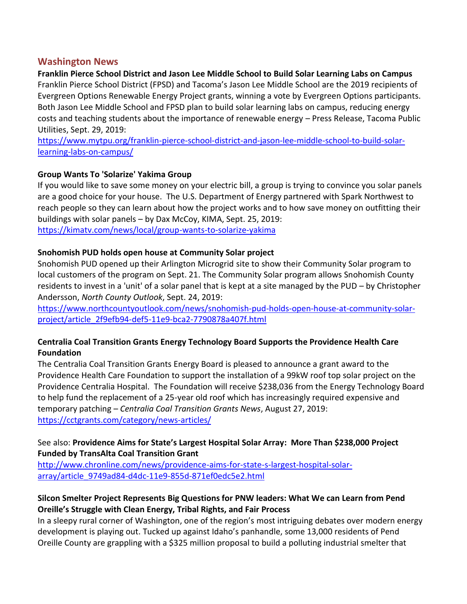## **Washington News**

**Franklin Pierce School District and Jason Lee Middle School to Build Solar Learning Labs on Campus** Franklin Pierce School District (FPSD) and Tacoma's Jason Lee Middle School are the 2019 recipients of Evergreen Options Renewable Energy Project grants, winning a vote by Evergreen Options participants. Both Jason Lee Middle School and FPSD plan to build solar learning labs on campus, reducing energy costs and teaching students about the importance of renewable energy – Press Release, Tacoma Public Utilities, Sept. 29, 2019:

[https://www.mytpu.org/franklin-pierce-school-district-and-jason-lee-middle-school-to-build-solar](https://www.mytpu.org/franklin-pierce-school-district-and-jason-lee-middle-school-to-build-solar-learning-labs-on-campus/)[learning-labs-on-campus/](https://www.mytpu.org/franklin-pierce-school-district-and-jason-lee-middle-school-to-build-solar-learning-labs-on-campus/)

## **Group Wants To 'Solarize' Yakima Group**

If you would like to save some money on your electric bill, a group is trying to convince you solar panels are a good choice for your house. The U.S. Department of Energy partnered with Spark Northwest to reach people so they can learn about how the project works and to how save money on outfitting their buildings with solar panels – by Dax McCoy, KIMA, Sept. 25, 2019: <https://kimatv.com/news/local/group-wants-to-solarize-yakima>

#### **Snohomish PUD holds open house at Community Solar project**

Snohomish PUD opened up their Arlington Microgrid site to show their Community Solar program to local customers of the program on Sept. 21. The Community Solar program allows Snohomish County residents to invest in a 'unit' of a solar panel that is kept at a site managed by the PUD – by Christopher Andersson, *North County Outlook*, Sept. 24, 2019:

[https://www.northcountyoutlook.com/news/snohomish-pud-holds-open-house-at-community-solar](https://www.northcountyoutlook.com/news/snohomish-pud-holds-open-house-at-community-solar-project/article_2f9efb94-def5-11e9-bca2-7790878a407f.html)[project/article\\_2f9efb94-def5-11e9-bca2-7790878a407f.html](https://www.northcountyoutlook.com/news/snohomish-pud-holds-open-house-at-community-solar-project/article_2f9efb94-def5-11e9-bca2-7790878a407f.html)

## **Centralia Coal Transition Grants Energy Technology Board Supports the Providence Health Care Foundation**

The Centralia Coal Transition Grants Energy Board is pleased to announce a grant award to the Providence Health Care Foundation to support the installation of a 99kW roof top solar project on the Providence Centralia Hospital. The Foundation will receive \$238,036 from the Energy Technology Board to help fund the replacement of a 25-year old roof which has increasingly required expensive and temporary patching – *Centralia Coal Transition Grants News*, August 27, 2019: <https://cctgrants.com/category/news-articles/>

## See also: **Providence Aims for State's Largest Hospital Solar Array: More Than \$238,000 Project Funded by TransAlta Coal Transition Grant**

[http://www.chronline.com/news/providence-aims-for-state-s-largest-hospital-solar](http://www.chronline.com/news/providence-aims-for-state-s-largest-hospital-solar-array/article_9749ad84-d4dc-11e9-855d-871ef0edc5e2.html)[array/article\\_9749ad84-d4dc-11e9-855d-871ef0edc5e2.html](http://www.chronline.com/news/providence-aims-for-state-s-largest-hospital-solar-array/article_9749ad84-d4dc-11e9-855d-871ef0edc5e2.html)

## **Silcon Smelter Project Represents Big Questions for PNW leaders: What We can Learn from Pend Oreille's Struggle with Clean Energy, Tribal Rights, and Fair Process**

In a sleepy rural corner of Washington, one of the region's most intriguing debates over modern energy development is playing out. Tucked up against Idaho's panhandle, some 13,000 residents of Pend Oreille County are grappling with a \$325 million proposal to build a polluting industrial smelter that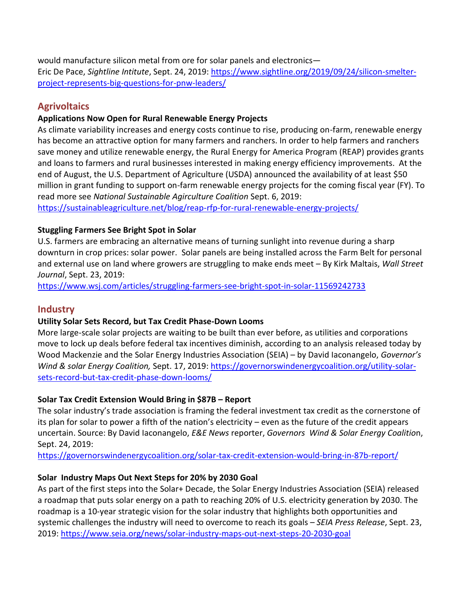would manufacture silicon metal from ore for solar panels and electronics— Eric De Pace, *Sightline Intitute*, Sept. 24, 2019: [https://www.sightline.org/2019/09/24/silicon-smelter](https://www.sightline.org/2019/09/24/silicon-smelter-project-represents-big-questions-for-pnw-leaders/)[project-represents-big-questions-for-pnw-leaders/](https://www.sightline.org/2019/09/24/silicon-smelter-project-represents-big-questions-for-pnw-leaders/)

# **Agrivoltaics**

## **Applications Now Open for Rural Renewable Energy Projects**

As climate variability increases and energy costs continue to rise, producing on-farm, renewable energy has become an attractive option for many farmers and ranchers. In order to help farmers and ranchers save money and utilize renewable energy, the [Rural Energy for America Program \(REAP\)](https://sustainableagriculture.net/publications/grassrootsguide/renewable-energy/renewable-energy-energy-efficiency/) provides grants and loans to farmers and rural businesses interested in making energy efficiency improvements. At the end of August, the U.S. Department of Agriculture (USDA) [announced the availability](https://www.federalregister.gov/documents/2019/08/30/2019-18825/notice-of-solicitation-of-applications-for-the-rural-energy-for-america-program-for-fiscal-year-2020) of at least \$50 million in grant funding to support on-farm renewable energy projects for the coming fiscal year (FY). To read more see *National Sustainable Agirculture Coalition* Sept. 6, 2019:

<https://sustainableagriculture.net/blog/reap-rfp-for-rural-renewable-energy-projects/>

## **Stuggling Farmers See Bright Spot in Solar**

U.S. farmers are embracing an alternative means of turning sunlight into revenue during a sharp downturn in crop prices: solar power. Solar panels are being installed across the Farm Belt for personal and external use on land where growers are struggling to make ends meet – By Kirk Maltais, *Wall Street Journal*, Sept. 23, 2019:

<https://www.wsj.com/articles/struggling-farmers-see-bright-spot-in-solar-11569242733>

# **Industry**

## **Utility Solar Sets Record, but Tax Credit Phase-Down Looms**

More large-scale solar projects are waiting to be built than ever before, as utilities and corporations move to lock up deals before federal tax incentives diminish, according to an analysis released today by Wood Mackenzie and the Solar Energy Industries Association (SEIA) – by David Iaconangelo, *Governor's Wind & solar Energy Coalition,* Sept. 17, 2019: [https://governorswindenergycoalition.org/utility-solar](https://governorswindenergycoalition.org/utility-solar-sets-record-but-tax-credit-phase-down-looms/)[sets-record-but-tax-credit-phase-down-looms/](https://governorswindenergycoalition.org/utility-solar-sets-record-but-tax-credit-phase-down-looms/)

## **Solar Tax Credit Extension Would Bring in \$87B – Report**

The solar industry's trade association is framing the federal investment tax credit as the cornerstone of its plan for solar to power a fifth of the nation's electricity – even as the future of the credit appears uncertain. Source: By David Iaconangelo, *E&E News* reporter, *Governors Wind & Solar Energy Coalitio*n, Sept. 24, 2019:

<https://governorswindenergycoalition.org/solar-tax-credit-extension-would-bring-in-87b-report/>

# **Solar Industry Maps Out Next Steps for 20% by 2030 Goal**

As part of the first steps into the Solar+ Decade, the Solar Energy Industries Association (SEIA) released a roadmap that puts solar energy on a path to reaching 20% of U.S. electricity generation by 2030. The roadmap is a [10-year strategic vision for the solar industry](http://www.seia.org/roadmap) that highlights both opportunities and systemic challenges the industry will need to overcome to reach its goals – *SEIA Press Release*, Sept. 23, 2019:<https://www.seia.org/news/solar-industry-maps-out-next-steps-20-2030-goal>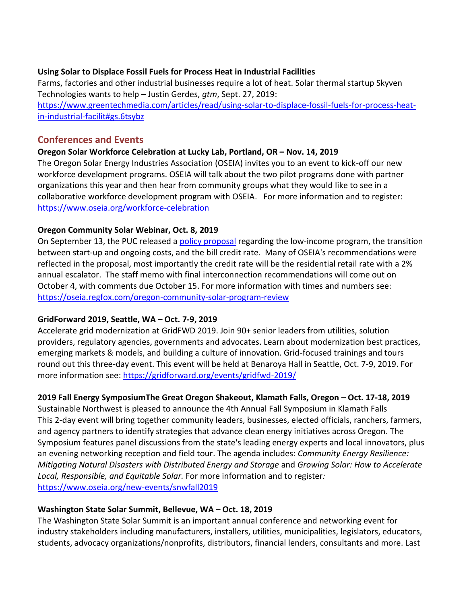#### **Using Solar to Displace Fossil Fuels for Process Heat in Industrial Facilities**

Farms, factories and other industrial businesses require a lot of heat. Solar thermal startup Skyven Technologies wants to help – Justin Gerdes, *gtm*, Sept. 27, 2019: [https://www.greentechmedia.com/articles/read/using-solar-to-displace-fossil-fuels-for-process-heat](https://www.greentechmedia.com/articles/read/using-solar-to-displace-fossil-fuels-for-process-heat-in-industrial-facilit#gs.6tsybz)[in-industrial-facilit#gs.6tsybz](https://www.greentechmedia.com/articles/read/using-solar-to-displace-fossil-fuels-for-process-heat-in-industrial-facilit#gs.6tsybz)

## **Conferences and Events**

## **Oregon Solar Workforce Celebration at Lucky Lab, Portland, OR – Nov. 14, 2019**

The Oregon Solar Energy Industries Association (OSEIA) invites you to an event to kick-off our new workforce development programs. OSEIA will talk about the two pilot programs done with partner organizations this year and then hear from community groups what they would like to see in a collaborative workforce development program with OSEIA. For more information and to register: <https://www.oseia.org/workforce-celebration>

## **Oregon Community Solar Webinar, Oct. 8, 2019**

On September 13, the PUC released a [policy proposal](https://edocs.puc.state.or.us/efdocs/HAH/um1930hah145221.pdf) regarding the low-income program, the transition between start-up and ongoing costs, and the bill credit rate. Many of OSEIA's recommendations were reflected in the proposal, most importantly the credit rate will be the residential retail rate with a 2% annual escalator. The staff memo with final interconnection recommendations will come out on October 4, with comments due October 15. For more information with times and numbers see: <https://oseia.regfox.com/oregon-community-solar-program-review>

## **GridForward 2019, Seattle, WA – Oct. 7-9, 2019**

Accelerate grid modernization at GridFWD 2019. Join 90+ senior leaders from utilities, solution providers, regulatory agencies, governments and advocates. Learn about modernization best practices, emerging markets & models, and building a culture of innovation. Grid-focused trainings and tours round out this three-day event. This event will be held at Benaroya Hall in Seattle, Oct. 7-9, 2019. For more information see: <https://gridforward.org/events/gridfwd-2019/>

# **2019 Fall Energy SymposiumThe Great Oregon Shakeout, Klamath Falls, Oregon – Oct. 17-18, 2019**

Sustainable Northwest is pleased to announce the 4th Annual Fall Symposium in Klamath Falls This 2-day event will bring together community leaders, businesses, elected officials, ranchers, farmers, and agency partners to identify strategies that advance clean energy initiatives across Oregon. The Symposium features panel discussions from the state's leading energy experts and local innovators, plus an evening networking reception and field tour. The agenda includes: *Community Energy Resilience: Mitigating Natural Disasters with Distributed Energy and Storage* and *Growing Solar: How to Accelerate Local, Responsible, and Equitable Solar.* For more information and to register*:* <https://www.oseia.org/new-events/snwfall2019>

## **Washington State Solar Summit, Bellevue, WA – Oct. 18, 2019**

The Washington State Solar Summit is an important annual conference and networking event for industry stakeholders including manufacturers, installers, utilities, municipalities, legislators, educators, students, advocacy organizations/nonprofits, distributors, financial lenders, consultants and more. Last